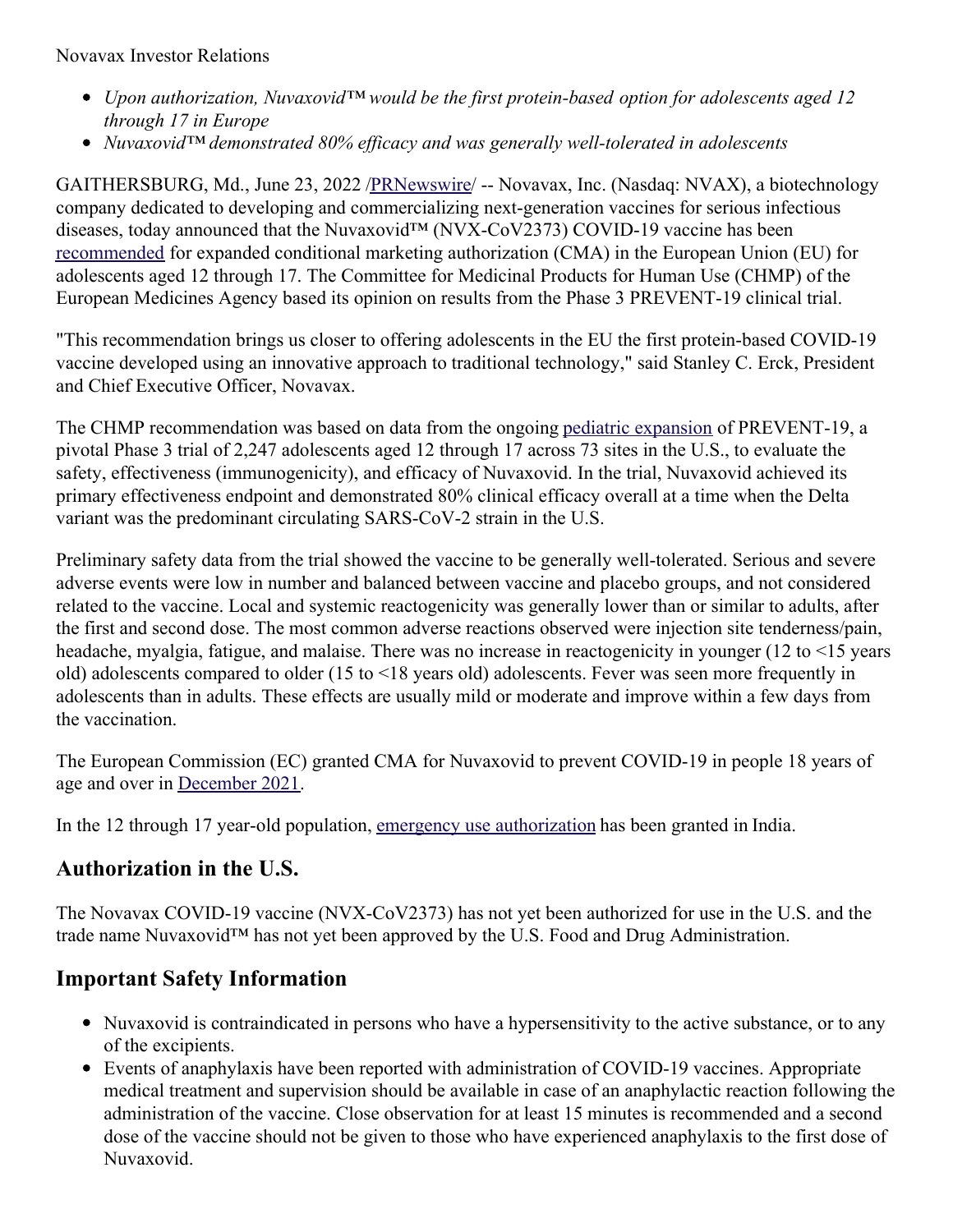- *Upon authorization, Nuvaxovid™ would be the first protein-based option for adolescents aged 12 through 17 in Europe*
- *Nuvaxovid™ demonstrated 80% ef icacy and was generally well-tolerated in adolescents*

GAITHERSBURG, Md., June 23, 2022 [/PRNewswire](http://www.prnewswire.com/)/ -- Novavax, Inc. (Nasdaq: NVAX), a biotechnology company dedicated to developing and commercializing next-generation vaccines for serious infectious diseases, today announced that the Nuvaxovid™ (NVX-CoV2373) COVID-19 vaccine has been [recommended](https://c212.net/c/link/?t=0&l=en&o=3576637-1&h=2764660009&u=https%3A%2F%2Fwww.ema.europa.eu%2Fen%2Fnews%2Fema-recommends-authorisation-nuvaxovid-adolescents-aged-12-17&a=recommended) for expanded conditional marketing authorization (CMA) in the European Union (EU) for adolescents aged 12 through 17. The Committee for Medicinal Products for Human Use (CHMP) of the European Medicines Agency based its opinion on results from the Phase 3 PREVENT-19 clinical trial.

"This recommendation brings us closer to offering adolescents in the EU the first protein-based COVID-19 vaccine developed using an innovative approach to traditional technology," said Stanley C. Erck, President and Chief Executive Officer, Novavax.

The CHMP recommendation was based on data from the ongoing pediatric [expansion](https://c212.net/c/link/?t=0&l=en&o=3576637-1&h=1846031258&u=https%3A%2F%2Fir.novavax.com%2F2022-02-10-Novavax-Announces-Positive-Results-of-COVID-19-Vaccine-in-Pediatric-Population-of-PREVENT-19-Phase-3-Clinical-Trial&a=pediatric+expansion) of PREVENT-19, a pivotal Phase 3 trial of 2,247 adolescents aged 12 through 17 across 73 sites in the U.S., to evaluate the safety, effectiveness (immunogenicity), and efficacy of Nuvaxovid. In the trial, Nuvaxovid achieved its primary effectiveness endpoint and demonstrated 80% clinical efficacy overall at a time when the Delta variant was the predominant circulating SARS-CoV-2 strain in the U.S.

Preliminary safety data from the trial showed the vaccine to be generally well-tolerated. Serious and severe adverse events were low in number and balanced between vaccine and placebo groups, and not considered related to the vaccine. Local and systemic reactogenicity was generally lower than or similar to adults, after the first and second dose. The most common adverse reactions observed were injection site tenderness/pain, headache, myalgia, fatigue, and malaise. There was no increase in reactogenicity in younger (12 to <15 years old) adolescents compared to older (15 to <18 years old) adolescents. Fever was seen more frequently in adolescents than in adults. These effects are usually mild or moderate and improve within a few days from the vaccination.

The European Commission (EC) granted CMA for Nuvaxovid to prevent COVID-19 in people 18 years of age and over in [December](https://c212.net/c/link/?t=0&l=en&o=3576637-1&h=4077074162&u=https%3A%2F%2Fc212.net%2Fc%2Flink%2F%3Ft%3D0%26l%3Den%26o%3D3490095-1%26h%3D3782079808%26u%3Dhttps%253A%252F%252Fir.novavax.com%252F2021-12-20-European-Commission-Grants-Conditional-Marketing-Authorization-for-Novavax-COVID-19-Vaccine%26a%3DDecember&a=December+2021) 2021.

In the 12 through 17 year-old population, emergency use [authorization](https://c212.net/c/link/?t=0&l=en&o=3576637-1&h=1557514344&u=https%3A%2F%2Fir.novavax.com%2F2022-03-22-Novavax-and-Serum-Institute-of-India-Announce-First-Emergency-Use-Authorization-of-Novavax-COVID-19-Vaccine-in-Adolescents-12-to-18-in-India&a=emergency+use+authorization) has been granted in India.

# **Authorization in the U.S.**

The Novavax COVID-19 vaccine (NVX-CoV2373) has not yet been authorized for use in the U.S. and the trade name Nuvaxovid™ has not yet been approved by the U.S. Food and Drug Administration.

# **Important Safety Information**

- Nuvaxovid is contraindicated in persons who have a hypersensitivity to the active substance, or to any of the excipients.
- Events of anaphylaxis have been reported with administration of COVID-19 vaccines. Appropriate medical treatment and supervision should be available in case of an anaphylactic reaction following the administration of the vaccine. Close observation for at least 15 minutes is recommended and a second dose of the vaccine should not be given to those who have experienced anaphylaxis to the first dose of Nuvaxovid.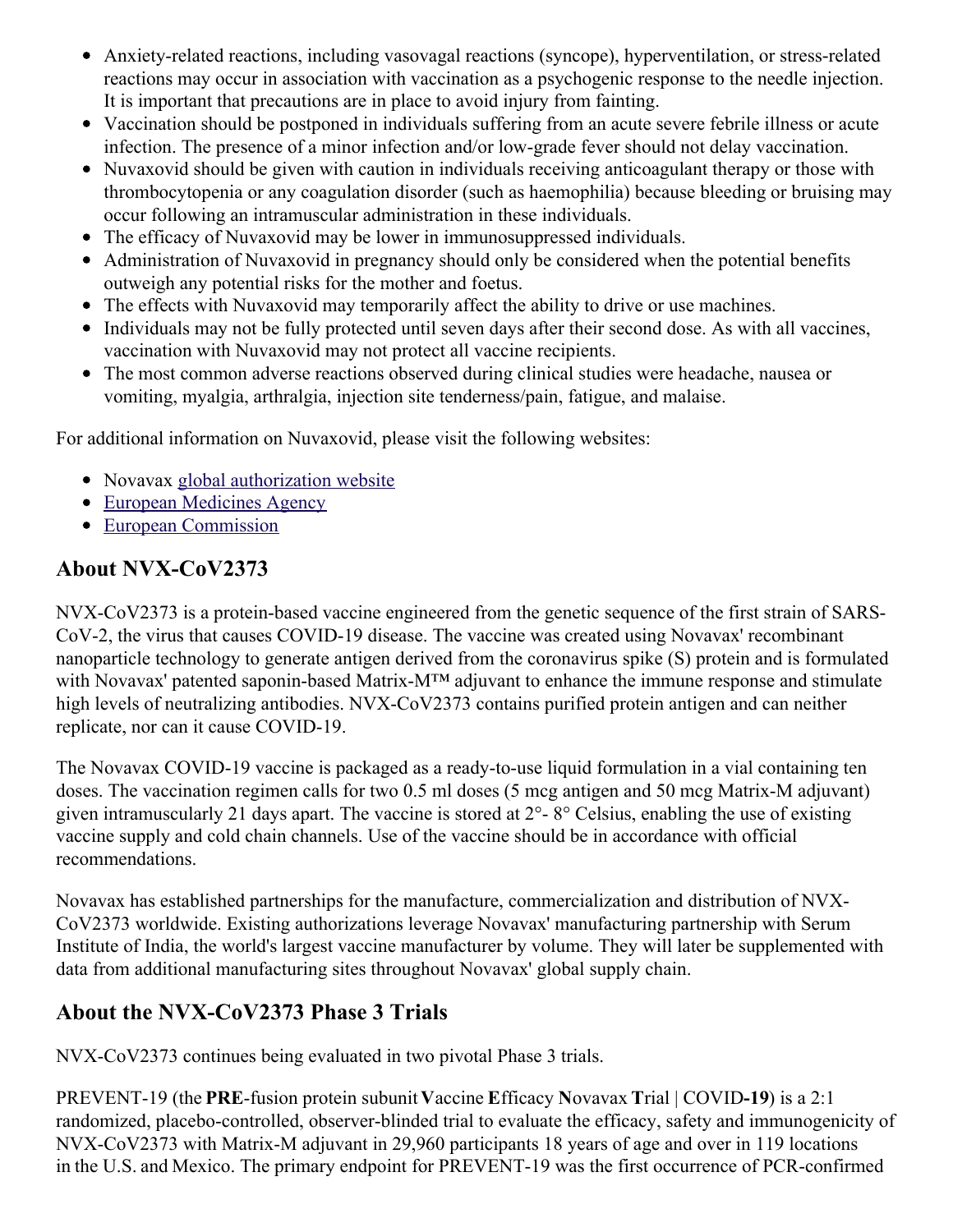- Anxiety-related reactions, including vasovagal reactions (syncope), hyperventilation, or stress-related reactions may occur in association with vaccination as a psychogenic response to the needle injection. It is important that precautions are in place to avoid injury from fainting.
- Vaccination should be postponed in individuals suffering from an acute severe febrile illness or acute infection. The presence of a minor infection and/or low-grade fever should not delay vaccination.
- Nuvaxovid should be given with caution in individuals receiving anticoagulant therapy or those with thrombocytopenia or any coagulation disorder (such as haemophilia) because bleeding or bruising may occur following an intramuscular administration in these individuals.
- The efficacy of Nuvaxovid may be lower in immunosuppressed individuals.
- Administration of Nuvaxovid in pregnancy should only be considered when the potential benefits outweigh any potential risks for the mother and foetus.
- The effects with Nuvaxovid may temporarily affect the ability to drive or use machines.
- Individuals may not be fully protected until seven days after their second dose. As with all vaccines, vaccination with Nuvaxovid may not protect all vaccine recipients.
- The most common adverse reactions observed during clinical studies were headache, nausea or vomiting, myalgia, arthralgia, injection site tenderness/pain, fatigue, and malaise.

For additional information on Nuvaxovid, please visit the following websites:

- Novavax global [authorization](https://c212.net/c/link/?t=0&l=en&o=3576637-1&h=3664322855&u=https%3A%2F%2Fwww.novavaxcovidvaccine.com%2F&a=global+authorization+website) website
- European [Medicines](https://c212.net/c/link/?t=0&l=en&o=3576637-1&h=3113743083&u=https%3A%2F%2Fc212.net%2Fc%2Flink%2F%3Ft%3D0%26l%3Den%26o%3D3490095-1%26h%3D1545350530%26u%3Dhttps%253A%252F%252Fwww.ema.europa.eu%252Fen%252Fmedicines%252Fhuman%252FEPAR%252Fnuvaxovid%26a%3DEuropean%2BMedicines%2BAgency&a=European+Medicines+Agency) Agency
- European [Commission](https://c212.net/c/link/?t=0&l=en&o=3576637-1&h=628121259&u=https%3A%2F%2Fc212.net%2Fc%2Flink%2F%3Ft%3D0%26l%3Den%26o%3D3490095-1%26h%3D2784477625%26u%3Dhttps%253A%252F%252Fec.europa.eu%252Fcommission%252Fpresscorner%252Fdetail%252Fen%252Fip_21_6966%26a%3DEuropean%2BCommission&a=European+Commission)

## **About NVX-CoV2373**

NVX-CoV2373 is a protein-based vaccine engineered from the genetic sequence of the first strain of SARS-CoV-2, the virus that causes COVID-19 disease. The vaccine was created using Novavax' recombinant nanoparticle technology to generate antigen derived from the coronavirus spike (S) protein and is formulated with Novavax' patented saponin-based Matrix-M™ adjuvant to enhance the immune response and stimulate high levels of neutralizing antibodies. NVX-CoV2373 contains purified protein antigen and can neither replicate, nor can it cause COVID-19.

The Novavax COVID-19 vaccine is packaged as a ready-to-use liquid formulation in a vial containing ten doses. The vaccination regimen calls for two 0.5 ml doses (5 mcg antigen and 50 mcg Matrix-M adjuvant) given intramuscularly 21 days apart. The vaccine is stored at 2°- 8° Celsius, enabling the use of existing vaccine supply and cold chain channels. Use of the vaccine should be in accordance with official recommendations.

Novavax has established partnerships for the manufacture, commercialization and distribution of NVX-CoV2373 worldwide. Existing authorizations leverage Novavax' manufacturing partnership with Serum Institute of India, the world's largest vaccine manufacturer by volume. They will later be supplemented with data from additional manufacturing sites throughout Novavax' global supply chain.

## **About the NVX-CoV2373 Phase 3 Trials**

NVX-CoV2373 continues being evaluated in two pivotal Phase 3 trials.

PREVENT-19 (the **PRE**-fusion protein subunit **V**accine **E**fficacy **N**ovavax **T**rial | COVID**-19**) is a 2:1 randomized, placebo-controlled, observer-blinded trial to evaluate the efficacy, safety and immunogenicity of NVX-CoV2373 with Matrix-M adjuvant in 29,960 participants 18 years of age and over in 119 locations in the U.S. and Mexico. The primary endpoint for PREVENT-19 was the first occurrence of PCR-confirmed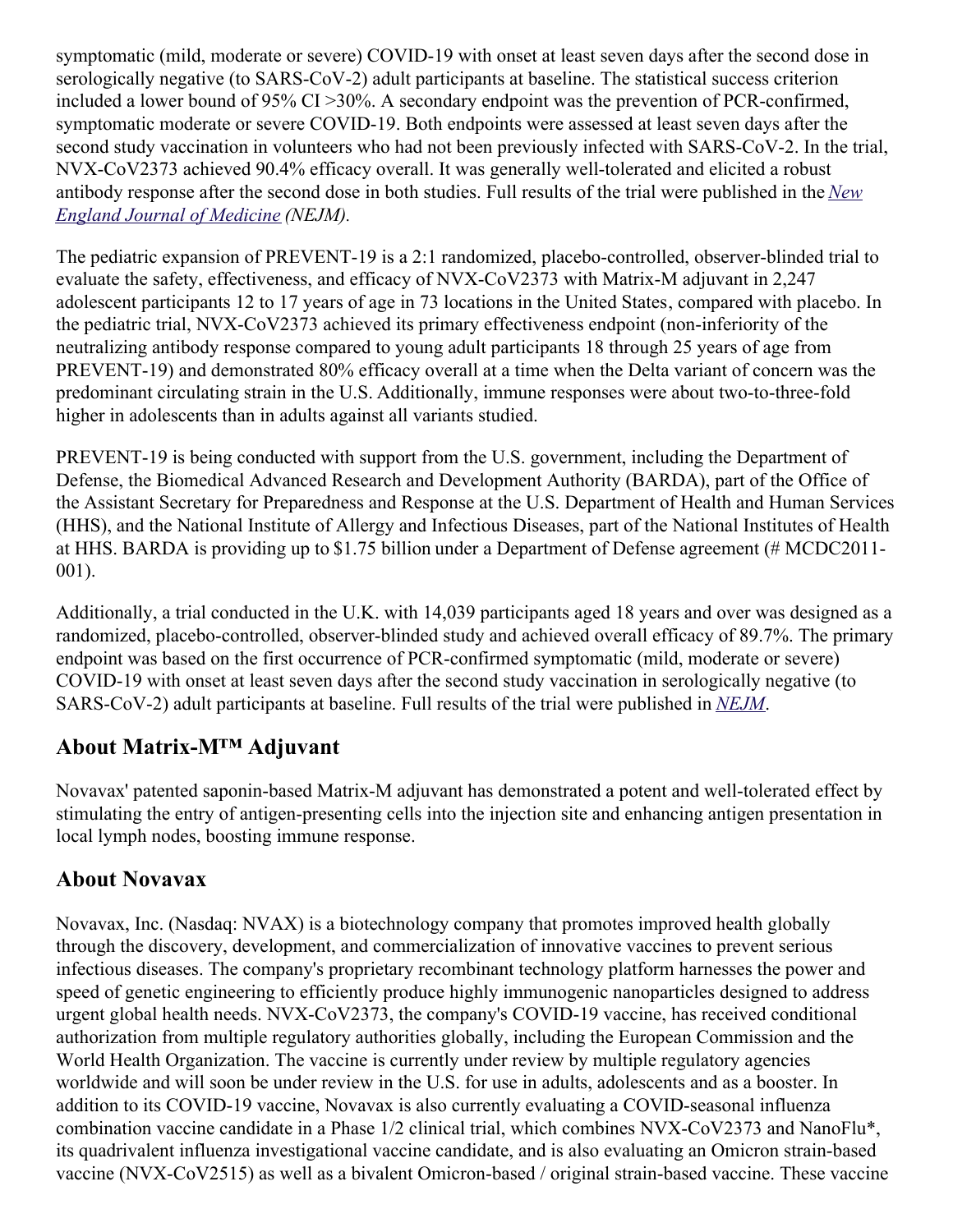symptomatic (mild, moderate or severe) COVID-19 with onset at least seven days after the second dose in serologically negative (to SARS-CoV-2) adult participants at baseline. The statistical success criterion included a lower bound of 95% CI >30%. A secondary endpoint was the prevention of PCR-confirmed, symptomatic moderate or severe COVID-19. Both endpoints were assessed at least seven days after the second study vaccination in volunteers who had not been previously infected with SARS-CoV-2. In the trial, NVX-CoV2373 achieved 90.4% efficacy overall. It was generally well-tolerated and elicited a robust antibody response after the second dose in both studies. Full results of the trial were [published](https://c212.net/c/link/?t=0&l=en&o=3576637-1&h=3105155329&u=https%3A%2F%2Fc212.net%2Fc%2Flink%2F%3Ft%3D0%26l%3Den%26o%3D3440781-1%26h%3D467849857%26u%3Dhttps%253A%252F%252Fwww.nejm.org%252Fdoi%252Ffull%252F10.1056%252FNEJMoa2116185%253Fquery%253Dfeatured_home%26a%3DNew%2BEngland%2BJournal%2Bof%2BMedicine&a=New+England+Journal+of+Medicine) in the *New England Journal of Medicine (NEJM).*

The pediatric expansion of PREVENT-19 is a 2:1 randomized, placebo-controlled, observer-blinded trial to evaluate the safety, effectiveness, and efficacy of NVX-CoV2373 with Matrix-M adjuvant in 2,247 adolescent participants 12 to 17 years of age in 73 locations in the United States, compared with placebo. In the pediatric trial, NVX-CoV2373 achieved its primary effectiveness endpoint (non-inferiority of the neutralizing antibody response compared to young adult participants 18 through 25 years of age from PREVENT-19) and demonstrated 80% efficacy overall at a time when the Delta variant of concern was the predominant circulating strain in the U.S. Additionally, immune responses were about two-to-three-fold higher in adolescents than in adults against all variants studied.

PREVENT-19 is being conducted with support from the U.S. government, including the Department of Defense, the Biomedical Advanced Research and Development Authority (BARDA), part of the Office of the Assistant Secretary for Preparedness and Response at the U.S. Department of Health and Human Services (HHS), and the National Institute of Allergy and Infectious Diseases, part of the National Institutes of Health at HHS. BARDA is providing up to \$1.75 billion under a Department of Defense agreement (# MCDC2011- 001).

Additionally, a trial conducted in the U.K. with 14,039 participants aged 18 years and over was designed as a randomized, placebo-controlled, observer-blinded study and achieved overall efficacy of 89.7%. The primary endpoint was based on the first occurrence of PCR-confirmed symptomatic (mild, moderate or severe) COVID-19 with onset at least seven days after the second study vaccination in serologically negative (to SARS-CoV-2) adult participants at baseline. Full results of the trial were published in *[NEJM](https://c212.net/c/link/?t=0&l=en&o=3576637-1&h=1520321630&u=https%3A%2F%2Fc212.net%2Fc%2Flink%2F%3Ft%3D0%26l%3Den%26o%3D3440781-1%26h%3D3617137863%26u%3Dhttps%253A%252F%252Fwww.nejm.org%252Fdoi%252Ffull%252F10.1056%252FNEJMoa2107659%26a%3DNEJM&a=NEJM)*.

### **About Matrix-M™ Adjuvant**

Novavax' patented saponin-based Matrix-M adjuvant has demonstrated a potent and well-tolerated effect by stimulating the entry of antigen-presenting cells into the injection site and enhancing antigen presentation in local lymph nodes, boosting immune response.

### **About Novavax**

Novavax, Inc. (Nasdaq: NVAX) is a biotechnology company that promotes improved health globally through the discovery, development, and commercialization of innovative vaccines to prevent serious infectious diseases. The company's proprietary recombinant technology platform harnesses the power and speed of genetic engineering to efficiently produce highly immunogenic nanoparticles designed to address urgent global health needs. NVX-CoV2373, the company's COVID-19 vaccine, has received conditional authorization from multiple regulatory authorities globally, including the European Commission and the World Health Organization. The vaccine is currently under review by multiple regulatory agencies worldwide and will soon be under review in the U.S. for use in adults, adolescents and as a booster. In addition to its COVID-19 vaccine, Novavax is also currently evaluating a COVID-seasonal influenza combination vaccine candidate in a Phase 1/2 clinical trial, which combines NVX-CoV2373 and NanoFlu\*, its quadrivalent influenza investigational vaccine candidate, and is also evaluating an Omicron strain-based vaccine (NVX-CoV2515) as well as a bivalent Omicron-based / original strain-based vaccine. These vaccine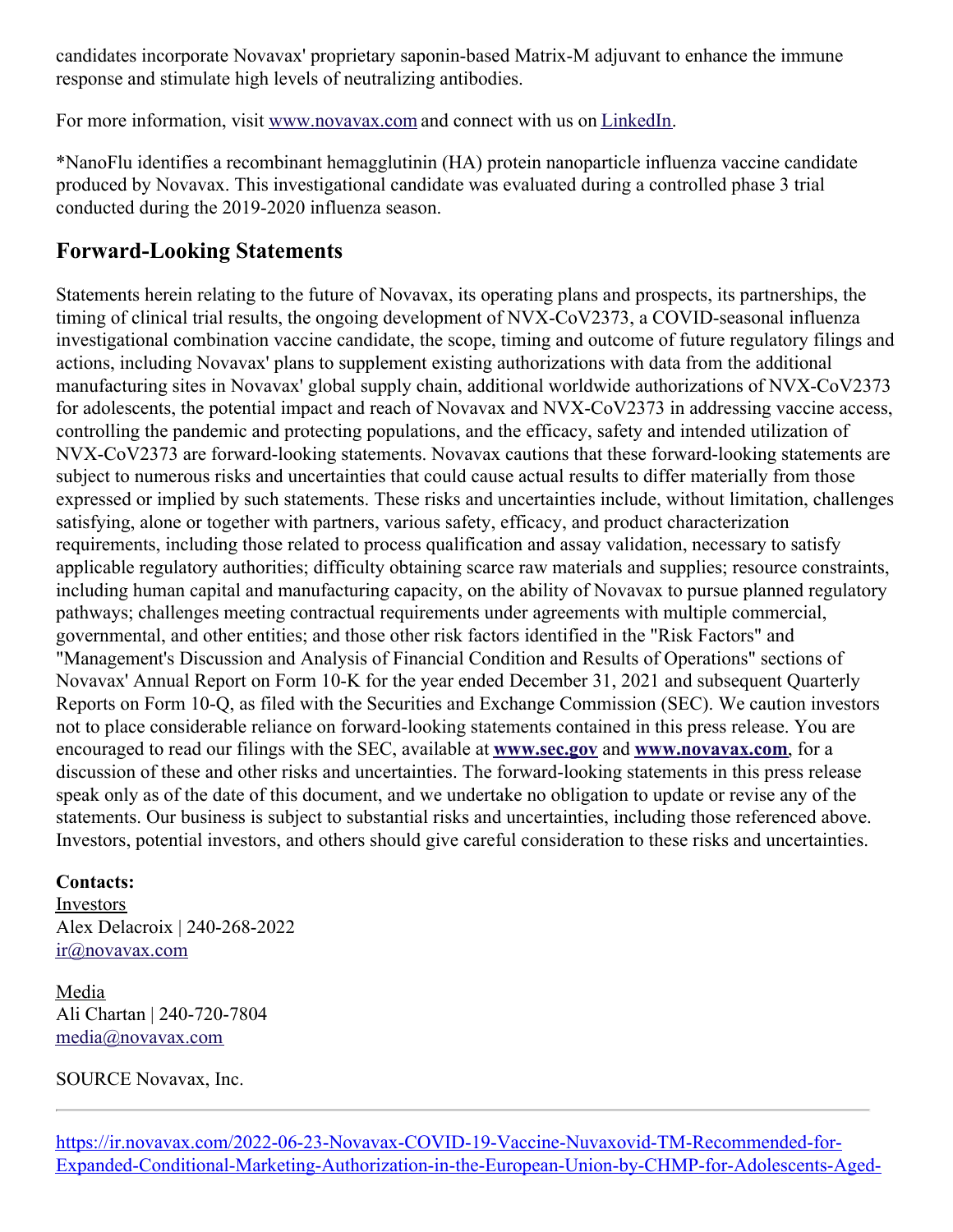candidates incorporate Novavax' proprietary saponin-based Matrix-M adjuvant to enhance the immune response and stimulate high levels of neutralizing antibodies.

For more information, visit [www.novavax.com](https://c212.net/c/link/?t=0&l=en&o=3576637-1&h=3106308365&u=https%3A%2F%2Fc212.net%2Fc%2Flink%2F%3Ft%3D0%26l%3Den%26o%3D3460980-1%26h%3D3623927874%26u%3Dhttps%253A%252F%252Fc212.net%252Fc%252Flink%252F%253Ft%253D0%2526l%253Den%2526o%253D3457869-1%2526h%253D982408174%2526u%253Dhttps%25253A%25252F%25252Fc212.net%25252Fc%25252Flink%25252F%25253Ft%25253D0%252526l%25253Den%252526o%25253D3440781-1%252526h%25253D3964594936%252526u%25253Dhttps%2525253A%2525252F%2525252Fc212.net%2525252Fc%2525252Flink%2525252F%2525253Ft%2525253D0%25252526l%2525253Den%25252526o%2525253D3395501-1%25252526h%2525253D2463599076%25252526u%2525253Dhttps%252525253A%252525252F%252525252Fc212.net%252525252Fc%252525252Flink%252525252F%252525253Ft%252525253D0%2525252526l%252525253Den%2525252526o%252525253D3392093-1%2525252526h%252525253D203886192%2525252526u%252525253Dhttps%25252525253A%25252525252F%25252525252Fc212.net%25252525252Fc%25252525252Flink%25252525252F%25252525253Ft%25252525253D0%252525252526l%25252525253Den%252525252526o%25252525253D3387216-1%252525252526h%25252525253D3917401194%252525252526u%25252525253Dhttps%2525252525253A%2525252525252F%2525252525252Fc212.net%2525252525252Fc%2525252525252Flink%2525252525252F%2525252525253Ft%2525252525253D0%25252525252526l%2525252525253Den%25252525252526o%2525252525253D3260461-1%25252525252526h%2525252525253D2897486098%25252525252526u%2525252525253Dhttp%252525252525253A%252525252525252F%252525252525252Fwww.novavax.com%252525252525252F%25252525252526a%2525252525253Dwww.novavax.com%252525252526a%25252525253Dwww.novavax.com%2525252526a%252525253Dwww.novavax.com%25252526a%2525253Dwww.novavax.com%252526a%25253Dwww.novavax.com%2526a%253Dwww.novavax.com%26a%3Dwww.novavax.com&a=www.novavax.com) and connect with us on [LinkedIn.](https://c212.net/c/link/?t=0&l=en&o=3576637-1&h=2782276220&u=https%3A%2F%2Fc212.net%2Fc%2Flink%2F%3Ft%3D0%26l%3Den%26o%3D3460980-1%26h%3D91088807%26u%3Dhttps%253A%252F%252Fc212.net%252Fc%252Flink%252F%253Ft%253D0%2526l%253Den%2526o%253D3457869-1%2526h%253D1725473980%2526u%253Dhttps%25253A%25252F%25252Fc212.net%25252Fc%25252Flink%25252F%25253Ft%25253D0%252526l%25253Den%252526o%25253D3440781-1%252526h%25253D2733326919%252526u%25253Dhttps%2525253A%2525252F%2525252Fc212.net%2525252Fc%2525252Flink%2525252F%2525253Ft%2525253D0%25252526l%2525253Den%25252526o%2525253D3395501-1%25252526h%2525253D853375093%25252526u%2525253Dhttps%252525253A%252525252F%252525252Fc212.net%252525252Fc%252525252Flink%252525252F%252525253Ft%252525253D0%2525252526l%252525253Den%2525252526o%252525253D3392093-1%2525252526h%252525253D1325598136%2525252526u%252525253Dhttps%25252525253A%25252525252F%25252525252Fc212.net%25252525252Fc%25252525252Flink%25252525252F%25252525253Ft%25252525253D0%252525252526l%25252525253Den%252525252526o%25252525253D3387216-1%252525252526h%25252525253D2935962557%252525252526u%25252525253Dhttps%2525252525253A%2525252525252F%2525252525252Fc212.net%2525252525252Fc%2525252525252Flink%2525252525252F%2525252525253Ft%2525252525253D0%25252525252526l%2525252525253Den%25252525252526o%2525252525253D3260461-1%25252525252526h%2525252525253D1508558197%25252525252526u%2525252525253Dhttps%252525252525253A%252525252525252F%252525252525252Fc212.net%252525252525252Fc%252525252525252Flink%252525252525252F%252525252525253Ft%252525252525253D0%2525252525252526l%252525252525253Den%2525252525252526o%252525252525253D3158017-1%2525252525252526h%252525252525253D3702938248%2525252525252526u%252525252525253Dhttps%25252525252525253A%25252525252525252F%25252525252525252Fwww.linkedin.com%25252525252525252Fcompany%25252525252525252Fnovavax%25252525252525252F%2525252525252526a%252525252525253DLinkedIn%25252525252526a%2525252525253DLinkedIn%252525252526a%25252525253DLinkedIn%2525252526a%252525253DLinkedIn%25252526a%2525253DLinkedIn%252526a%25253DLinkedIn%2526a%253DLinkedIn%26a%3DLinkedIn&a=LinkedIn)

\*NanoFlu identifies a recombinant hemagglutinin (HA) protein nanoparticle influenza vaccine candidate produced by Novavax. This investigational candidate was evaluated during a controlled phase 3 trial conducted during the 2019-2020 influenza season.

### **Forward-Looking Statements**

Statements herein relating to the future of Novavax, its operating plans and prospects, its partnerships, the timing of clinical trial results, the ongoing development of NVX-CoV2373, a COVID-seasonal influenza investigational combination vaccine candidate, the scope, timing and outcome of future regulatory filings and actions, including Novavax' plans to supplement existing authorizations with data from the additional manufacturing sites in Novavax' global supply chain, additional worldwide authorizations of NVX-CoV2373 for adolescents, the potential impact and reach of Novavax and NVX-CoV2373 in addressing vaccine access, controlling the pandemic and protecting populations, and the efficacy, safety and intended utilization of NVX-CoV2373 are forward-looking statements. Novavax cautions that these forward-looking statements are subject to numerous risks and uncertainties that could cause actual results to differ materially from those expressed or implied by such statements. These risks and uncertainties include, without limitation, challenges satisfying, alone or together with partners, various safety, efficacy, and product characterization requirements, including those related to process qualification and assay validation, necessary to satisfy applicable regulatory authorities; difficulty obtaining scarce raw materials and supplies; resource constraints, including human capital and manufacturing capacity, on the ability of Novavax to pursue planned regulatory pathways; challenges meeting contractual requirements under agreements with multiple commercial, governmental, and other entities; and those other risk factors identified in the "Risk Factors" and "Management's Discussion and Analysis of Financial Condition and Results of Operations" sections of Novavax' Annual Report on Form 10-K for the year ended December 31, 2021 and subsequent Quarterly Reports on Form 10-Q, as filed with the Securities and Exchange Commission (SEC). We caution investors not to place considerable reliance on forward-looking statements contained in this press release. You are encouraged to read our filings with the SEC, available at **[www.sec.gov](https://c212.net/c/link/?t=0&l=en&o=3576637-1&h=3121965291&u=https%3A%2F%2Fwww.sec.gov&a=www.sec.gov)** and **[www.novavax.com](https://c212.net/c/link/?t=0&l=en&o=3576637-1&h=3225592932&u=https%3A%2F%2Fwww.novavax.com&a=www.novavax.com)**, for a discussion of these and other risks and uncertainties. The forward-looking statements in this press release speak only as of the date of this document, and we undertake no obligation to update or revise any of the statements. Our business is subject to substantial risks and uncertainties, including those referenced above. Investors, potential investors, and others should give careful consideration to these risks and uncertainties.

#### **Contacts:**

Investors Alex Delacroix | 240-268-2022 [ir@novavax.com](mailto:ir@novavax.com)

Media Ali Chartan | 240-720-7804 [media@novavax.com](mailto:media@novavax.com)

SOURCE Novavax, Inc.